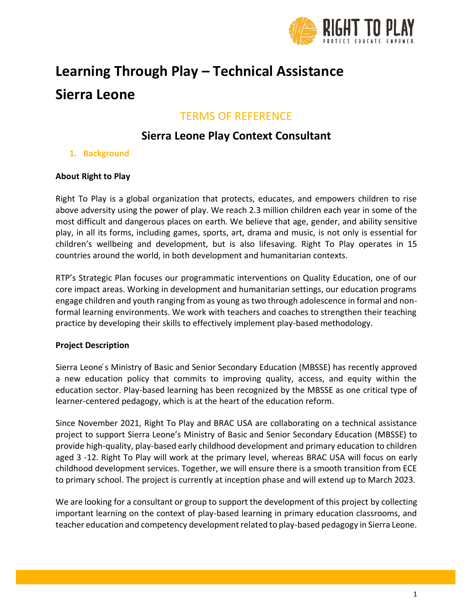

# **Learning Through Play – Technical Assistance Sierra Leone**

# TERMS OF REFERENCE

# **Sierra Leone Play Context Consultant**

**1. Background**

## **About Right to Play**

Right To Play is a global organization that protects, educates, and empowers children to rise above adversity using the power of play. We reach 2.3 million children each year in some of the most difficult and dangerous places on earth. We believe that age, gender, and ability sensitive play, in all its forms, including games, sports, art, drama and music, is not only is essential for children's wellbeing and development, but is also lifesaving. Right To Play operates in 15 countries around the world, in both development and humanitarian contexts.

RTP's Strategic Plan focuses our programmatic interventions on Quality Education, one of our core impact areas. Working in development and humanitarian settings, our education programs engage children and youth ranging from as young as two through adolescence in formal and nonformal learning environments. We work with teachers and coaches to strengthen their teaching practice by developing their skills to effectively implement play-based methodology.

#### **Project Description**

Sierra Leone's Ministry of Basic and Senior Secondary Education (MBSSE) has recently approved a new education policy that commits to improving quality, access, and equity within the education sector. Play-based learning has been recognized by the MBSSE as one critical type of learner-centered pedagogy, which is at the heart of the education reform.

Since November 2021, Right To Play and BRAC USA are collaborating on a technical assistance project to support Sierra Leone's Ministry of Basic and Senior Secondary Education (MBSSE) to provide high-quality, play-based early childhood development and primary education to children aged 3 -12. Right To Play will work at the primary level, whereas BRAC USA will focus on early childhood development services. Together, we will ensure there is a smooth transition from ECE to primary school. The project is currently at inception phase and will extend up to March 2023.

We are looking for a consultant or group to support the development of this project by collecting important learning on the context of play-based learning in primary education classrooms, and teacher education and competency development related to play-based pedagogy in Sierra Leone.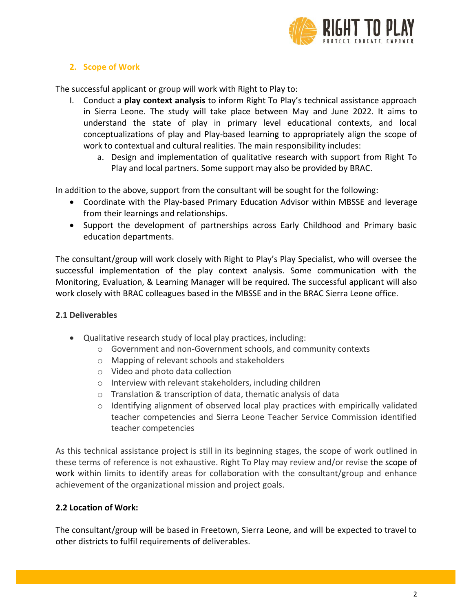

#### **2. Scope of Work**

The successful applicant or group will work with Right to Play to:

- I. Conduct a **play context analysis** to inform Right To Play's technical assistance approach in Sierra Leone. The study will take place between May and June 2022. It aims to understand the state of play in primary level educational contexts, and local conceptualizations of play and Play-based learning to appropriately align the scope of work to contextual and cultural realities. The main responsibility includes:
	- a. Design and implementation of qualitative research with support from Right To Play and local partners. Some support may also be provided by BRAC.

In addition to the above, support from the consultant will be sought for the following:

- Coordinate with the Play-based Primary Education Advisor within MBSSE and leverage from their learnings and relationships.
- Support the development of partnerships across Early Childhood and Primary basic education departments.

The consultant/group will work closely with Right to Play's Play Specialist, who will oversee the successful implementation of the play context analysis. Some communication with the Monitoring, Evaluation, & Learning Manager will be required. The successful applicant will also work closely with BRAC colleagues based in the MBSSE and in the BRAC Sierra Leone office.

#### **2.1 Deliverables**

- Qualitative research study of local play practices, including:
	- o Government and non-Government schools, and community contexts
	- o Mapping of relevant schools and stakeholders
	- o Video and photo data collection
	- o Interview with relevant stakeholders, including children
	- o Translation & transcription of data, thematic analysis of data
	- $\circ$  Identifying alignment of observed local play practices with empirically validated teacher competencies and Sierra Leone Teacher Service Commission identified teacher competencies

As this technical assistance project is still in its beginning stages, the scope of work outlined in these terms of reference is not exhaustive. Right To Play may review and/or revise the scope of work within limits to identify areas for collaboration with the consultant/group and enhance achievement of the organizational mission and project goals.

## **2.2 Location of Work:**

The consultant/group will be based in Freetown, Sierra Leone, and will be expected to travel to other districts to fulfil requirements of deliverables.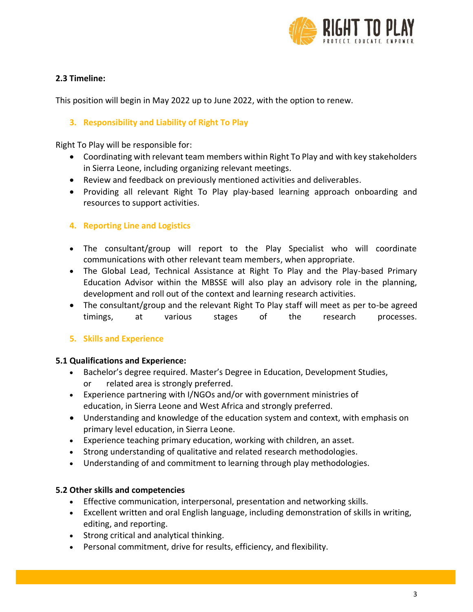

# **2.3 Timeline:**

This position will begin in May 2022 up to June 2022, with the option to renew.

#### **3. Responsibility and Liability of Right To Play**

Right To Play will be responsible for:

- Coordinating with relevant team members within Right To Play and with key stakeholders in Sierra Leone, including organizing relevant meetings.
- Review and feedback on previously mentioned activities and deliverables.
- Providing all relevant Right To Play play-based learning approach onboarding and resources to support activities.

## **4. Reporting Line and Logistics**

- The consultant/group will report to the Play Specialist who will coordinate communications with other relevant team members, when appropriate.
- The Global Lead, Technical Assistance at Right To Play and the Play-based Primary Education Advisor within the MBSSE will also play an advisory role in the planning, development and roll out of the context and learning research activities.
- The consultant/group and the relevant Right To Play staff will meet as per to-be agreed timings, at various stages of the research processes.

## **5. Skills and Experience**

#### **5.1 Qualifications and Experience:**

- Bachelor's degree required. Master's Degree in Education, Development Studies,
	- or related area is strongly preferred.
- Experience partnering with I/NGOs and/or with government ministries of education, in Sierra Leone and West Africa and strongly preferred.
- Understanding and knowledge of the education system and context, with emphasis on primary level education, in Sierra Leone.
- Experience teaching primary education, working with children, an asset.
- Strong understanding of qualitative and related research methodologies.
- Understanding of and commitment to learning through play methodologies.

#### **5.2 Other skills and competencies**

- Effective communication, interpersonal, presentation and networking skills.
- Excellent written and oral English language, including demonstration of skills in writing, editing, and reporting.
- Strong critical and analytical thinking.
- Personal commitment, drive for results, efficiency, and flexibility.